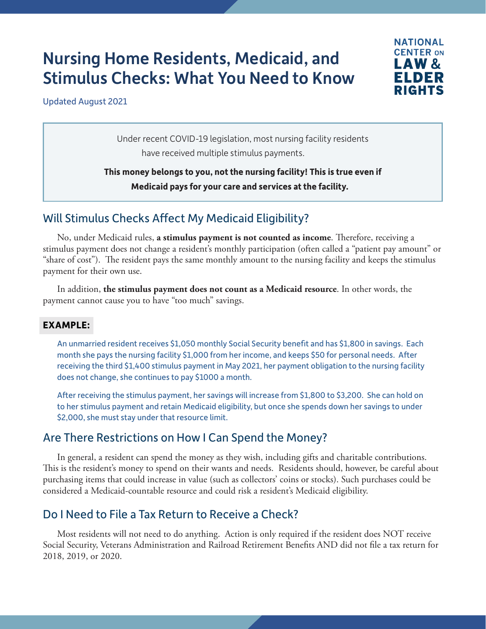# Nursing Home Residents, Medicaid, and Stimulus Checks: What You Need to Know



Updated August 2021

Under recent COVID-19 legislation, most nursing facility residents have received multiple stimulus payments.

**This money belongs to you, not the nursing facility! This is true even if Medicaid pays for your care and services at the facility.**

# Will Stimulus Checks Affect My Medicaid Eligibility?

No, under Medicaid rules, **a stimulus payment is not counted as income**. Therefore, receiving a stimulus payment does not change a resident's monthly participation (often called a "patient pay amount" or "share of cost"). The resident pays the same monthly amount to the nursing facility and keeps the stimulus payment for their own use.

In addition, **the stimulus payment does not count as a Medicaid resource**. In other words, the payment cannot cause you to have "too much" savings.

#### **EXAMPLE:**

An unmarried resident receives \$1,050 monthly Social Security benefit and has \$1,800 in savings. Each month she pays the nursing facility \$1,000 from her income, and keeps \$50 for personal needs. After receiving the third \$1,400 stimulus payment in May 2021, her payment obligation to the nursing facility does not change, she continues to pay \$1000 a month.

After receiving the stimulus payment, her savings will increase from \$1,800 to \$3,200. She can hold on to her stimulus payment and retain Medicaid eligibility, but once she spends down her savings to under \$2,000, she must stay under that resource limit.

#### Are There Restrictions on How I Can Spend the Money?

In general, a resident can spend the money as they wish, including gifts and charitable contributions. This is the resident's money to spend on their wants and needs. Residents should, however, be careful about purchasing items that could increase in value (such as collectors' coins or stocks). Such purchases could be considered a Medicaid-countable resource and could risk a resident's Medicaid eligibility.

# Do I Need to File a Tax Return to Receive a Check?

Most residents will not need to do anything. Action is only required if the resident does NOT receive Social Security, Veterans Administration and Railroad Retirement Benefits AND did not file a tax return for 2018, 2019, or 2020.